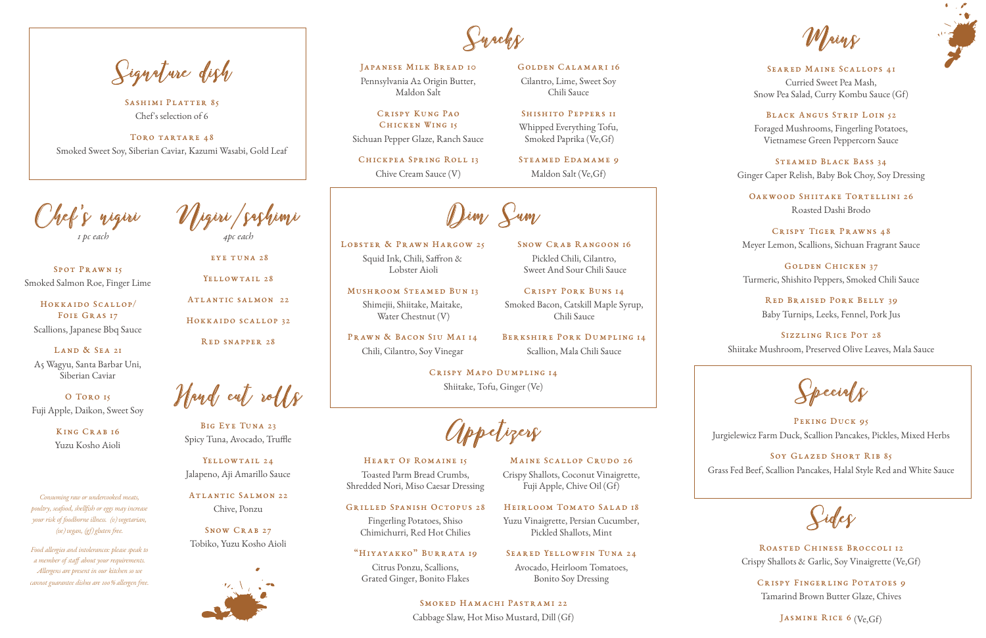#### Seared Maine Scallops 41

Curried Sweet Pea Mash, Snow Pea Salad, Curry Kombu Sauce (Gf)

#### Black Angus Strip Loin 52

Foraged Mushrooms, Fingerling Potatoes, Vietnamese Green Peppercorn Sauce

OAKWOOD SHIITAKE TORTELLINI 26 Roasted Dashi Brodo

Steamed Black Bass 34 Ginger Caper Relish, Baby Bok Choy, Soy Dressing

> RED BRAISED PORK BELLY 39 Baby Turnips, Leeks, Fennel, Pork Jus

PEKING DUCK 95 Jurgielewicz Farm Duck, Scallion Pancakes, Pickles, Mixed Herbs

Crispy Tiger Prawns 48 Meyer Lemon, Scallions, Sichuan Fragrant Sauce

SOY GLAZED SHORT RIB 85 Grass Fed Beef, Scallion Pancakes, Halal Style Red and White Sauce

Waing



Golden Chicken 37 Turmeric, Shishito Peppers, Smoked Chili Sauce

CRISPY KUNG PAO Chicken Wing 15 Sichuan Pepper Glaze, Ranch Sauce

> Sizzling Rice Pot 28 Shiitake Mushroom, Preserved Olive Leaves, Mala Sauce

Special<sub>s</sub>

STEAMED EDAMAME 9 Maldon Salt (Ve,Gf)

LAND & SEA 21 A5 Wagyu, Santa Barbar Uni, Siberian Caviar

Sides

Roasted Chinese Broccoli 12 Crispy Shallots & Garlic, Soy Vinaigrette (Ve,Gf)

BIG EYE TUNA 23 Spicy Tuna, Avocado, Truffle

> Crispy Fingerling Potatoes 9 Tamarind Brown Butter Glaze, Chives

> > JASMINE RICE 6 (Ve, Gf)

YELLOWTAIL 24 Jalapeno, Aji Amarillo Sauce

SNOW CRAB 27 Tobiko, Yuzu Kosho Aioli



Pennsylvania A2 Origin Butter, Maldon Salt

Chickpea Spring Roll 13 Chive Cream Sauce (V)

Golden Calamari 16

Cilantro, Lime, Sweet Soy Chili Sauce

## SHISHITO PEPPERS II

SEARED YELLOWFIN TUNA 24 Avocado, Heirloom Tomatoes, Bonito Soy Dressing

Dim Sum

LOBSTER & PRAWN HARGOW 25 Squid Ink, Chili, Saffron & Lobster Aioli

Whipped Everything Tofu, Smoked Paprika (Ve,Gf)

PRAWN & BACON SIU MAI 14 Chili, Cilantro, Soy Vinegar

Chef's nigiri *1 pc each* 

Spot Prawn 15 Smoked Salmon Roe, Finger Lime

Hokkaido Scallop/ FOIE GRAS 17 Scallions, Japanese Bbq Sauce

> SMOKED HAMACHI PASTRAMI 22 Cabbage Slaw, Hot Miso Mustard, Dill (Gf)

O Toro 15 Fuji Apple, Daikon, Sweet Soy

> King Crab 16 Yuzu Kosho Aioli

Nigiri/sashimi *4pc each* 

eye tuna 28

YELLOWTAIL 28

Atlantic salmon 22

SASHIMI PLATTER 85 Chef's selection of 6

> Hokkaido scallop 32 Red snapper 28

Hand cut rolls

TORO TARTARE 48 Smoked Sweet Soy, Siberian Caviar, Kazumi Wasabi, Gold Leaf

> Atlantic Salmon 22 Chive, Ponzu

Grilled Spanish Octopus 28

Fingerling Potatoes, Shiso Chimichurri, Red Hot Chilies

Heart Of Romaine 15 Toasted Parm Bread Crumbs, Shredded Nori, Miso Caesar Dressing Crispy Shallots, Coconut Vinaigrette,

## "Hiyayakko" Burrata 19

Citrus Ponzu, Scallions, Grated Ginger, Bonito Flakes Fuji Apple, Chive Oil (Gf)

Heirloom Tomato Salad 18 Yuzu Vinaigrette, Persian Cucumber, Pickled Shallots, Mint

Snacks

## JAPANESE MILK BREAD 10

Appetizers

Mushroom Steamed Bun 13

Shimejii, Shiitake, Maitake, Water Chestnut (V)

Snow Crab Rangoon 16 Pickled Chili, Cilantro, Sweet And Sour Chili Sauce

Crispy Pork Buns 14 Smoked Bacon, Catskill Maple Syrup, Chili Sauce

Berkshire Pork Dumpling 14 Scallion, Mala Chili Sauce

MAINE SCALLOP CRUDO 26

Crispy Mapo Dumpling 14 Shiitake, Tofu, Ginger (Ve)

*Consuming raw or undercooked meats, poultry, seafood, shellfish or eggs may increase your risk of foodborne illness. (v) vegetarian, (ve) vegan, (gf) gluten free.*

*Food allergies and intolerances: please speak to a member of staff about your requirements. Allergens are present in our kitchen so we cannot guarantee dishes are 100% allergen free.* 

Signature dish